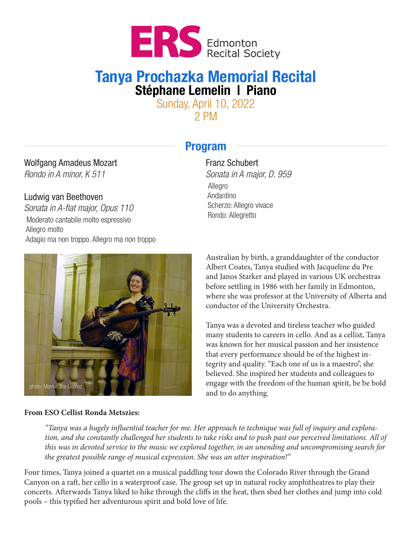

# Tanya Prochazka Memorial Recital Stéphane Lemelin | Piano

Sunday, April 10, 2022 2 PM

## Program

## Wolfgang Amadeus Mozart

*Rondo in A minor, K 511*

### Ludwig van Beethoven

*Sonata in A-flat major, Opus 110* Moderato cantabile molto espressivo Allegro molto Adagio ma non troppo. Allegro ma non troppo

#### Franz Schubert

*Sonata in A major, D. 959* Allegro Andantino Scherzo: Allegro vivace Rondo: Allegretto



#### **From ESO Cellist Ronda Metszies:**

Australian by birth, a granddaughter of the conductor Albert Coates, Tanya studied with Jacqueline du Pre and Janos Starker and played in various UK orchestras before settling in 1986 with her family in Edmonton, where she was professor at the University of Alberta and conductor of the University Orchestra.

Tanya was a devoted and tireless teacher who guided many students to careers in cello. And as a cellist, Tanya was known for her musical passion and her insistence that every performance should be of the highest integrity and quality. "Each one of us is a maestro", she believed. She inspired her students and colleagues to engage with the freedom of the human spirit, be be bold and to do anything.

*"Tanya was a hugely influential teacher for me. Her approach to technique was full of inquiry and exploration, and she constantly challenged her students to take risks and to push past our perceived limitations. All of this was in devoted service to the music we explored together, in an unending and uncompromising search for the greatest possible range of musical expression. She was an utter inspiration!"*

Four times, Tanya joined a quartet on a musical paddling tour down the Colorado River through the Grand Canyon on a raft, her cello in a waterproof case. The group set up in natural rocky amphitheatres to play their concerts. Afterwards Tanya liked to hike through the cliffs in the heat, then shed her clothes and jump into cold pools – this typified her adventurous spirit and bold love of life.